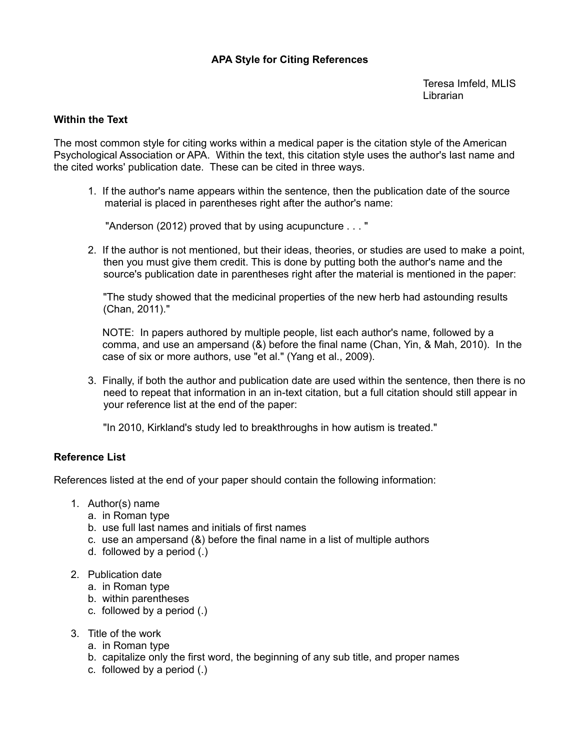# **[APA Style for Citing References](http://www.museumof/)**

[Teresa Imfeld, MLIS](http://www.museumof/) [Librarian](http://www.museumof/)

#### **Within the Text**

[The most common style for citing works within a medical paper is the citation style of the American](http://www.museumof/) [Psychological Association or APA. Within the text, this citation style uses the author's last name and](http://www.museumof/) [the cited works' publication date. These can be cited in three ways.](http://www.museumof/)

[1. If the author's name appears within the sentence, then the publication date of the source](http://www.museumof/)  [material is placed in parentheses right after the author's name:](http://www.museumof/) 

 ["Anderson \(2012\) proved that by using acupuncture . . . "](http://www.museumof/)

2. If the author is not mentioned, but their ideas, theories, or studies are used to make a point, then you must give them credit. This is done by putting both the author's name and the source's publication date in parentheses right after the material is mentioned in the paper:

["The study showed that the medicinal properties of the new herb had astounding results](http://www.museumof/) [\(Chan, 2011\)."](http://www.museumof/) 

[NOTE: In papers authored by multiple people, list each author's name, followed by a](http://www.museumof/) [comma, and use an ampersand \(&\) before the final name \(Chan, Yin, & Mah, 2010\). In the](http://www.museumof/) [case of six or more authors, use "et al." \(Yang et al., 2009\).](http://www.museumof/)

[3. Finally, if both the author and publication date are used within the sentence, then there is no](http://www.museumof/) [need to repeat that information in an in-text citation, but a full citation should still appear in](http://www.museumof/)  [your reference list at the end of the paper:](http://www.museumof/)

["In 2010, Kirkland's study led to breakthroughs in how autism is treated."](http://www.museumof/)

#### **[Reference List](http://www.museumof/)**

References listed at the end of your paper should contain the following information:

- 1. Author(s) name
	- a. in Roman type
	- b. use full last names and initials of first names
	- c. use an ampersand (&) before the final name in a list of multiple authors
	- d. followed by a period (.)
- 2. Publication date
	- a. in Roman type
	- b. within parentheses
	- c. followed by a period (.)
- 3. Title of the work
	- a. in Roman type
	- b. capitalize only the first word, the beginning of any sub title, and proper names
	- c. followed by a period (.)